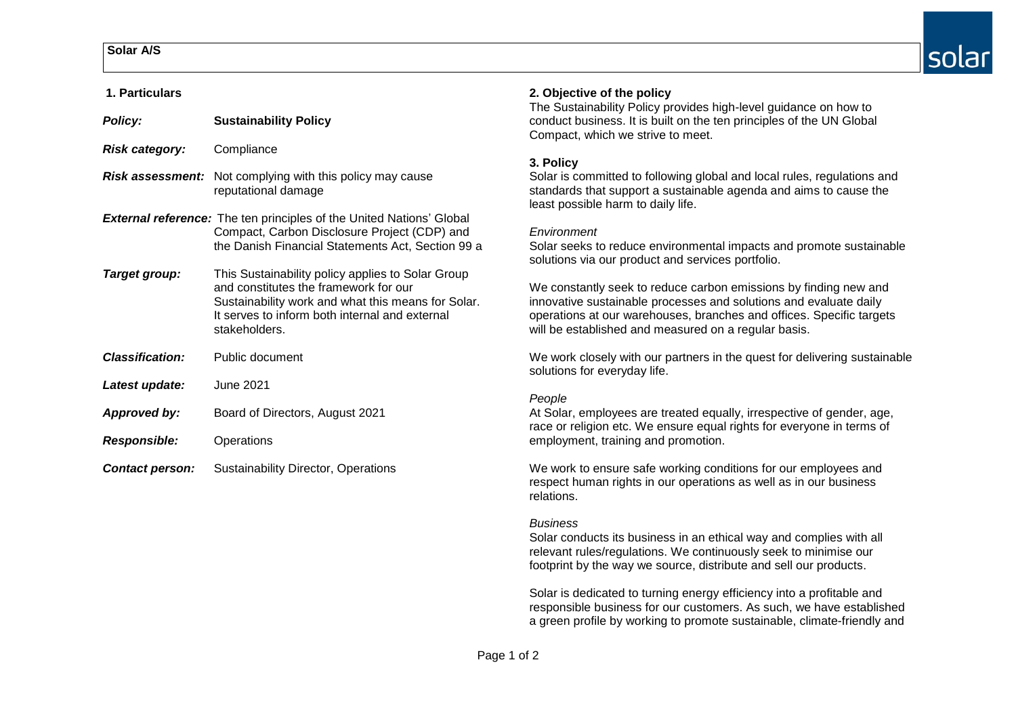# **Solar A/S**

| 1. Particulars                                                              |                                                                                                                                                                                                                     | 2. Objective of the policy<br>The Sustainability Policy provides high-level guidance on how to                                                                                                                                                                        |
|-----------------------------------------------------------------------------|---------------------------------------------------------------------------------------------------------------------------------------------------------------------------------------------------------------------|-----------------------------------------------------------------------------------------------------------------------------------------------------------------------------------------------------------------------------------------------------------------------|
| <b>Policy:</b>                                                              | <b>Sustainability Policy</b>                                                                                                                                                                                        | conduct business. It is built on the ten principles of the UN Global<br>Compact, which we strive to meet.                                                                                                                                                             |
| <b>Risk category:</b>                                                       | Compliance                                                                                                                                                                                                          |                                                                                                                                                                                                                                                                       |
|                                                                             | <b>Risk assessment:</b> Not complying with this policy may cause<br>reputational damage                                                                                                                             | 3. Policy<br>Solar is committed to following global and local rules, regulations and<br>standards that support a sustainable agenda and aims to cause the<br>least possible harm to daily life.                                                                       |
| <b>External reference:</b> The ten principles of the United Nations' Global |                                                                                                                                                                                                                     |                                                                                                                                                                                                                                                                       |
|                                                                             | Compact, Carbon Disclosure Project (CDP) and<br>the Danish Financial Statements Act, Section 99 a                                                                                                                   | Environment<br>Solar seeks to reduce environmental impacts and promote sustainable<br>solutions via our product and services portfolio.                                                                                                                               |
| Target group:                                                               | This Sustainability policy applies to Solar Group<br>and constitutes the framework for our<br>Sustainability work and what this means for Solar.<br>It serves to inform both internal and external<br>stakeholders. | We constantly seek to reduce carbon emissions by finding new and<br>innovative sustainable processes and solutions and evaluate daily<br>operations at our warehouses, branches and offices. Specific targets<br>will be established and measured on a regular basis. |
| <b>Classification:</b>                                                      | Public document                                                                                                                                                                                                     | We work closely with our partners in the quest for delivering sustainable<br>solutions for everyday life.                                                                                                                                                             |
| Latest update:                                                              | June 2021                                                                                                                                                                                                           |                                                                                                                                                                                                                                                                       |
| <b>Approved by:</b>                                                         | Board of Directors, August 2021                                                                                                                                                                                     | People<br>At Solar, employees are treated equally, irrespective of gender, age,<br>race or religion etc. We ensure equal rights for everyone in terms of                                                                                                              |
| <b>Responsible:</b>                                                         | Operations                                                                                                                                                                                                          | employment, training and promotion.                                                                                                                                                                                                                                   |
| <b>Contact person:</b>                                                      | <b>Sustainability Director, Operations</b>                                                                                                                                                                          | We work to ensure safe working conditions for our employees and<br>respect human rights in our operations as well as in our business                                                                                                                                  |

#### Page 1 of 2

relations.

*Business*

Solar conducts its business in an ethical way and complies with all relevant rules/regulations. We continuously seek to minimise our footprint by the way we source, distribute and sell our products.

Solar is dedicated to turning energy efficiency into a profitable and responsible business for our customers. As such, we have established a green profile by working to promote sustainable, climate-friendly and